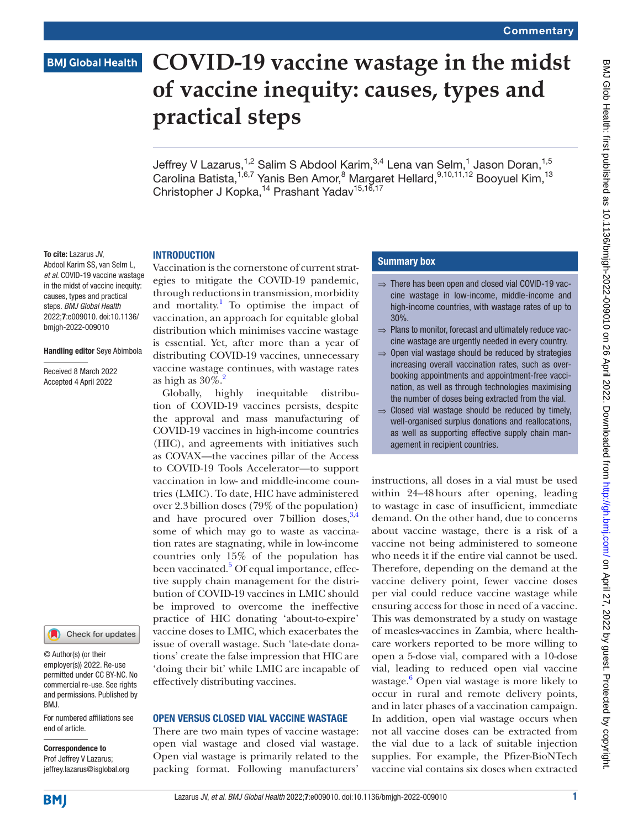# **BMJ Global Health**

# **COVID-19 vaccine wastage in the midst of vaccine inequity: causes, types and practical steps**

Jeffrey V Lazarus,<sup>1,2</sup> Salim S Abdool Karim,<sup>3,4</sup> Lena van Selm,<sup>1</sup> Jason Doran,<sup>1,5</sup> Carolina Batista,<sup>1,6,7</sup> Yanis Ben Amor,<sup>8</sup> Margaret Hellard, 9,10,11,12 Booyuel Kim, <sup>13</sup> Christopher J Kopka,<sup>14</sup> Prashant Yadav<sup>15,16,17</sup>

### **INTRODUCTION**

To cite: Lazarus JV, Abdool Karim SS, van Selm L, *et al*. COVID-19 vaccine wastage in the midst of vaccine inequity: causes, types and practical steps. *BMJ Global Health* 2022;7:e009010. doi:10.1136/ bmjgh-2022-009010

#### Handling editor Seye Abimbola

Received 8 March 2022 Accepted 4 April 2022



#### © Author(s) (or their employer(s)) 2022. Re-use permitted under CC BY-NC. No commercial re-use. See rights and permissions. Published by BMJ.

For numbered affiliations see end of article.

#### Correspondence to Prof Jeffrey V Lazarus; jeffrey.lazarus@isglobal.org

Vaccination is the cornerstone of current strategies to mitigate the COVID-19 pandemic, through reductions in transmission, morbidity and mortality.<sup>[1](#page-4-0)</sup> To optimise the impact of vaccination, an approach for equitable global distribution which minimises vaccine wastage is essential. Yet, after more than a year of distributing COVID-19 vaccines, unnecessary vaccine wastage continues, with wastage rates as high as  $30\%$ .<sup>2</sup>

Globally, highly inequitable distribution of COVID-19 vaccines persists, despite the approval and mass manufacturing of COVID-19 vaccines in high-income countries (HIC), and agreements with initiatives such as COVAX—the vaccines pillar of the Access to COVID-19 Tools Accelerator—to support vaccination in low- and middle-income countries (LMIC). To date, HIC have administered over 2.3billion doses (79% of the population) and have procured over 7 billion doses,  $3,4$  $3,4$ some of which may go to waste as vaccination rates are stagnating, while in low-income countries only 15% of the population has been vaccinated.<sup>[5](#page-4-4)</sup> Of equal importance, effective supply chain management for the distribution of COVID-19 vaccines in LMIC should be improved to overcome the ineffective practice of HIC donating 'about-to-expire' vaccine doses to LMIC, which exacerbates the issue of overall wastage. Such 'late-date donations' create the false impression that HIC are 'doing their bit' while LMIC are incapable of effectively distributing vaccines.

## OPEN VERSUS CLOSED VIAL VACCINE WASTAGE

There are two main types of vaccine wastage: open vial wastage and closed vial wastage. Open vial wastage is primarily related to the packing format. Following manufacturers'

## Summary box

- $\Rightarrow$  There has been open and closed vial COVID-19 vaccine wastage in low-income, middle-income and high-income countries, with wastage rates of up to 30%.
- ⇒ Plans to monitor, forecast and ultimately reduce vaccine wastage are urgently needed in every country.
- $\Rightarrow$  Open vial wastage should be reduced by strategies increasing overall vaccination rates, such as overbooking appointments and appointment-free vaccination, as well as through technologies maximising the number of doses being extracted from the vial.
- ⇒ Closed vial wastage should be reduced by timely, well-organised surplus donations and reallocations, as well as supporting effective supply chain management in recipient countries.

instructions, all doses in a vial must be used within 24–48hours after opening, leading to wastage in case of insufficient, immediate demand. On the other hand, due to concerns about vaccine wastage, there is a risk of a vaccine not being administered to someone who needs it if the entire vial cannot be used. Therefore, depending on the demand at the vaccine delivery point, fewer vaccine doses per vial could reduce vaccine wastage while ensuring access for those in need of a vaccine. This was demonstrated by a study on wastage of measles-vaccines in Zambia, where healthcare workers reported to be more willing to open a 5-dose vial, compared with a 10-dose vial, leading to reduced open vial vaccine wastage.[6](#page-4-5) Open vial wastage is more likely to occur in rural and remote delivery points, and in later phases of a vaccination campaign. In addition, open vial wastage occurs when not all vaccine doses can be extracted from the vial due to a lack of suitable injection supplies. For example, the Pfizer-BioNTech vaccine vial contains six doses when extracted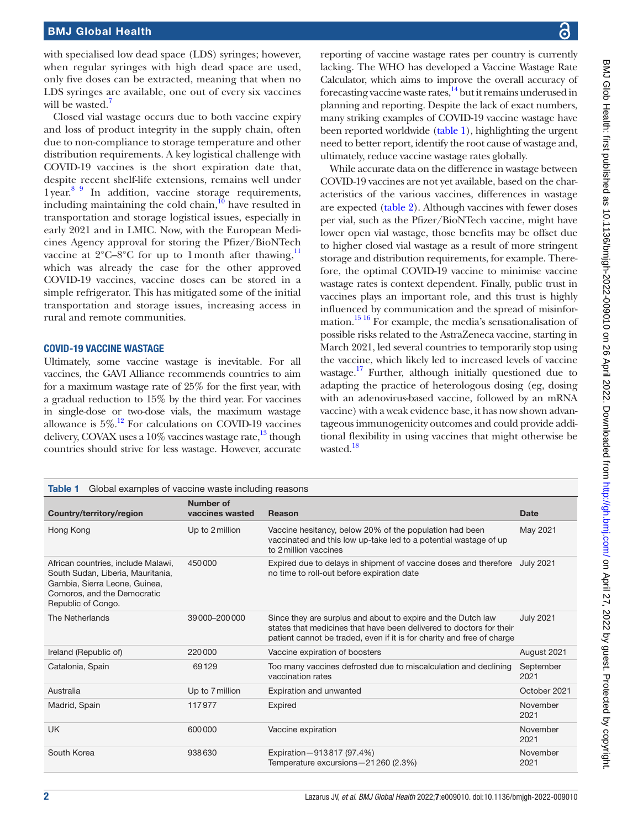# BMJ Global Health

with specialised low dead space (LDS) syringes; however, when regular syringes with high dead space are used, only five doses can be extracted, meaning that when no LDS syringes are available, one out of every six vaccines will be wasted.<sup>[7](#page-4-6)</sup>

Closed vial wastage occurs due to both vaccine expiry and loss of product integrity in the supply chain, often due to non-compliance to storage temperature and other distribution requirements. A key logistical challenge with COVID-19 vaccines is the short expiration date that, despite recent shelf-life extensions, remains well under 1year. [8 9](#page-4-7) In addition, vaccine storage requirements, including maintaining the cold chain, $10$  have resulted in transportation and storage logistical issues, especially in early 2021 and in LMIC. Now, with the European Medicines Agency approval for storing the Pfizer/BioNTech vaccine at  $2^{\circ}$ C–8°C for up to 1 month after thawing,<sup>11</sup> which was already the case for the other approved COVID-19 vaccines, vaccine doses can be stored in a simple refrigerator. This has mitigated some of the initial transportation and storage issues, increasing access in rural and remote communities.

# COVID-19 VACCINE WASTAGE

Ultimately, some vaccine wastage is inevitable. For all vaccines, the GAVI Alliance recommends countries to aim for a maximum wastage rate of 25% for the first year, with a gradual reduction to 15% by the third year. For vaccines in single-dose or two-dose vials, the maximum wastage allowance is  $5\%$ .<sup>12</sup> For calculations on COVID-19 vaccines delivery, COVAX uses a  $10\%$  vaccines wastage rate,  $^{13}$  though countries should strive for less wastage. However, accurate

reporting of vaccine wastage rates per country is currently lacking. The WHO has developed a Vaccine Wastage Rate Calculator, which aims to improve the overall accuracy of forecasting vaccine waste rates, $14$  but it remains underused in planning and reporting. Despite the lack of exact numbers, many striking examples of COVID-19 vaccine wastage have been reported worldwide [\(table](#page-1-0) 1), highlighting the urgent need to better report, identify the root cause of wastage and, ultimately, reduce vaccine wastage rates globally.

While accurate data on the difference in wastage between COVID-19 vaccines are not yet available, based on the characteristics of the various vaccines, differences in wastage are expected [\(table](#page-2-0) 2). Although vaccines with fewer doses per vial, such as the Pfizer/BioNTech vaccine, might have lower open vial wastage, those benefits may be offset due to higher closed vial wastage as a result of more stringent storage and distribution requirements, for example. Therefore, the optimal COVID-19 vaccine to minimise vaccine wastage rates is context dependent. Finally, public trust in vaccines plays an important role, and this trust is highly influenced by communication and the spread of misinformation[.15 16](#page-4-13) For example, the media's sensationalisation of possible risks related to the AstraZeneca vaccine, starting in March 2021, led several countries to temporarily stop using the vaccine, which likely led to increased levels of vaccine wastage.<sup>17</sup> Further, although initially questioned due to adapting the practice of heterologous dosing (eg, dosing with an adenovirus-based vaccine, followed by an mRNA vaccine) with a weak evidence base, it has now shown advantageous immunogenicity outcomes and could provide additional flexibility in using vaccines that might otherwise be wasted.<sup>18</sup>

<span id="page-1-0"></span>

| Global examples of vaccine waste including reasons<br>Table 1                                                                                                 |                              |                                                                                                                                                                                                               |                   |  |  |
|---------------------------------------------------------------------------------------------------------------------------------------------------------------|------------------------------|---------------------------------------------------------------------------------------------------------------------------------------------------------------------------------------------------------------|-------------------|--|--|
| Country/territory/region                                                                                                                                      | Number of<br>vaccines wasted | <b>Reason</b>                                                                                                                                                                                                 | Date              |  |  |
| Hong Kong                                                                                                                                                     | Up to 2 million              | Vaccine hesitancy, below 20% of the population had been<br>vaccinated and this low up-take led to a potential wastage of up<br>to 2 million vaccines                                                          | May 2021          |  |  |
| African countries, include Malawi,<br>South Sudan, Liberia, Mauritania,<br>Gambia, Sierra Leone, Guinea,<br>Comoros, and the Democratic<br>Republic of Congo. | 450000                       | Expired due to delays in shipment of vaccine doses and therefore<br>no time to roll-out before expiration date                                                                                                | <b>July 2021</b>  |  |  |
| The Netherlands                                                                                                                                               | 39000-200000                 | Since they are surplus and about to expire and the Dutch law<br>states that medicines that have been delivered to doctors for their<br>patient cannot be traded, even if it is for charity and free of charge | <b>July 2021</b>  |  |  |
| Ireland (Republic of)                                                                                                                                         | 220000                       | Vaccine expiration of boosters                                                                                                                                                                                | August 2021       |  |  |
| Catalonia, Spain                                                                                                                                              | 69129                        | Too many vaccines defrosted due to miscalculation and declining<br>vaccination rates                                                                                                                          | September<br>2021 |  |  |
| Australia                                                                                                                                                     | Up to 7 million              | <b>Expiration and unwanted</b>                                                                                                                                                                                | October 2021      |  |  |
| Madrid, Spain                                                                                                                                                 | 117977                       | Expired                                                                                                                                                                                                       | November<br>2021  |  |  |
| UK.                                                                                                                                                           | 600000                       | Vaccine expiration                                                                                                                                                                                            | November<br>2021  |  |  |
| South Korea                                                                                                                                                   | 938630                       | Expiration-913817 (97.4%)<br>Temperature excursions - 21 260 (2.3%)                                                                                                                                           | November<br>2021  |  |  |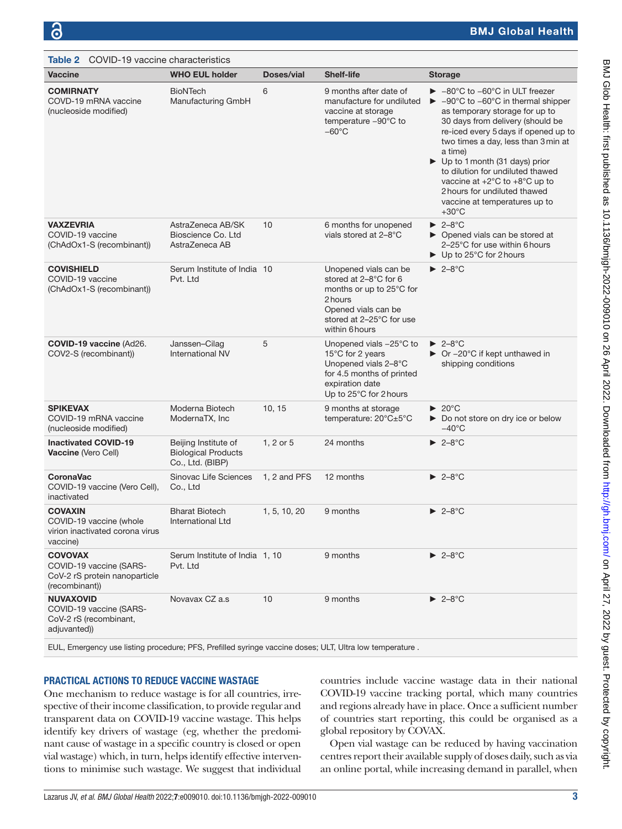<span id="page-2-0"></span>

| COVID-19 vaccine characteristics<br>Table 2                                                              |                                                                        |              |                                                                                                                                                            |                                                                                                                                                                                                                                                                                                                                                                                                                                                                                                               |  |  |
|----------------------------------------------------------------------------------------------------------|------------------------------------------------------------------------|--------------|------------------------------------------------------------------------------------------------------------------------------------------------------------|---------------------------------------------------------------------------------------------------------------------------------------------------------------------------------------------------------------------------------------------------------------------------------------------------------------------------------------------------------------------------------------------------------------------------------------------------------------------------------------------------------------|--|--|
| <b>Vaccine</b>                                                                                           | <b>WHO EUL holder</b>                                                  | Doses/vial   | <b>Shelf-life</b>                                                                                                                                          | <b>Storage</b>                                                                                                                                                                                                                                                                                                                                                                                                                                                                                                |  |  |
| <b>COMIRNATY</b><br>COVD-19 mRNA vaccine<br>(nucleoside modified)                                        | <b>BioNTech</b><br>Manufacturing GmbH                                  | 6            | 9 months after date of<br>manufacture for undiluted<br>vaccine at storage<br>temperature -90°C to<br>$-60^{\circ}$ C                                       | $\blacktriangleright$ -80°C to -60°C in ULT freezer<br>$\blacktriangleright$ -90°C to -60°C in thermal shipper<br>as temporary storage for up to<br>30 days from delivery (should be<br>re-iced every 5 days if opened up to<br>two times a day, less than 3 min at<br>a time)<br>$\triangleright$ Up to 1 month (31 days) prior<br>to dilution for undiluted thawed<br>vaccine at $+2^{\circ}$ C to $+8^{\circ}$ C up to<br>2 hours for undiluted thawed<br>vaccine at temperatures up to<br>$+30^{\circ}$ C |  |  |
| <b>VAXZEVRIA</b><br>COVID-19 vaccine<br>(ChAdOx1-S (recombinant))                                        | AstraZeneca AB/SK<br>Bioscience Co. Ltd<br>AstraZeneca AB              | 10           | 6 months for unopened<br>vials stored at 2-8°C                                                                                                             | $\blacktriangleright$ 2-8°C<br>▶ Opened vials can be stored at<br>2-25°C for use within 6 hours<br>$\blacktriangleright$ Up to 25°C for 2 hours                                                                                                                                                                                                                                                                                                                                                               |  |  |
| <b>COVISHIELD</b><br>COVID-19 vaccine<br>(ChAdOx1-S (recombinant))                                       | Serum Institute of India 10<br>Pvt. Ltd                                |              | Unopened vials can be<br>stored at 2-8°C for 6<br>months or up to 25°C for<br>2 hours<br>Opened vials can be<br>stored at 2-25°C for use<br>within 6 hours | $\blacktriangleright$ 2-8°C                                                                                                                                                                                                                                                                                                                                                                                                                                                                                   |  |  |
| COVID-19 vaccine (Ad26.<br>COV2-S (recombinant))                                                         | Janssen-Cilag<br>International NV                                      | 5            | Unopened vials $-25^{\circ}$ C to<br>15°C for 2 years<br>Unopened vials 2-8°C<br>for 4.5 months of printed<br>expiration date<br>Up to 25°C for 2 hours    | $\blacktriangleright$ 2-8°C<br>$\triangleright$ Or -20°C if kept unthawed in<br>shipping conditions                                                                                                                                                                                                                                                                                                                                                                                                           |  |  |
| <b>SPIKEVAX</b><br>COVID-19 mRNA vaccine<br>(nucleoside modified)                                        | Moderna Biotech<br>ModernaTX, Inc                                      | 10, 15       | 9 months at storage<br>temperature: 20°C±5°C                                                                                                               | $\blacktriangleright$ 20 °C<br>Do not store on dry ice or below<br>$-40^{\circ}$ C                                                                                                                                                                                                                                                                                                                                                                                                                            |  |  |
| <b>Inactivated COVID-19</b><br>Vaccine (Vero Cell)                                                       | Beijing Institute of<br><b>Biological Products</b><br>Co., Ltd. (BIBP) | 1, 2 or 5    | 24 months                                                                                                                                                  | $\blacktriangleright$ 2-8°C                                                                                                                                                                                                                                                                                                                                                                                                                                                                                   |  |  |
| <b>CoronaVac</b><br>COVID-19 vaccine (Vero Cell),<br>inactivated                                         | Sinovac Life Sciences<br>Co., Ltd                                      | 1.2 and PFS  | 12 months                                                                                                                                                  | $\blacktriangleright$ 2-8°C                                                                                                                                                                                                                                                                                                                                                                                                                                                                                   |  |  |
| <b>COVAXIN</b><br>COVID-19 vaccine (whole<br>virion inactivated corona virus<br>vaccine)                 | <b>Bharat Biotech</b><br>International Ltd                             | 1, 5, 10, 20 | 9 months                                                                                                                                                   | $\blacktriangleright$ 2-8°C                                                                                                                                                                                                                                                                                                                                                                                                                                                                                   |  |  |
| <b>COVOVAX</b><br>COVID-19 vaccine (SARS-<br>CoV-2 rS protein nanoparticle<br>(recombinant))             | Serum Institute of India 1, 10<br>Pvt. Ltd                             |              | 9 months                                                                                                                                                   | $\blacktriangleright$ 2-8°C                                                                                                                                                                                                                                                                                                                                                                                                                                                                                   |  |  |
| <b>NUVAXOVID</b><br>COVID-19 vaccine (SARS-<br>CoV-2 rS (recombinant,<br>adjuvanted)                     | Novavax CZ a.s                                                         | 10           | 9 months                                                                                                                                                   | $\blacktriangleright$ 2-8°C                                                                                                                                                                                                                                                                                                                                                                                                                                                                                   |  |  |
| EUL, Emergency use listing procedure; PFS, Prefilled syringe vaccine doses; ULT, Ultra low temperature . |                                                                        |              |                                                                                                                                                            |                                                                                                                                                                                                                                                                                                                                                                                                                                                                                                               |  |  |

# PRACTICAL ACTIONS TO REDUCE VACCINE WASTAGE

One mechanism to reduce wastage is for all countries, irrespective of their income classification, to provide regular and transparent data on COVID-19 vaccine wastage. This helps identify key drivers of wastage (eg, whether the predominant cause of wastage in a specific country is closed or open vial wastage) which, in turn, helps identify effective interventions to minimise such wastage. We suggest that individual countries include vaccine wastage data in their national COVID-19 vaccine tracking portal, which many countries and regions already have in place. Once a sufficient number of countries start reporting, this could be organised as a global repository by COVAX.

Open vial wastage can be reduced by having vaccination centres report their available supply of doses daily, such as via an online portal, while increasing demand in parallel, when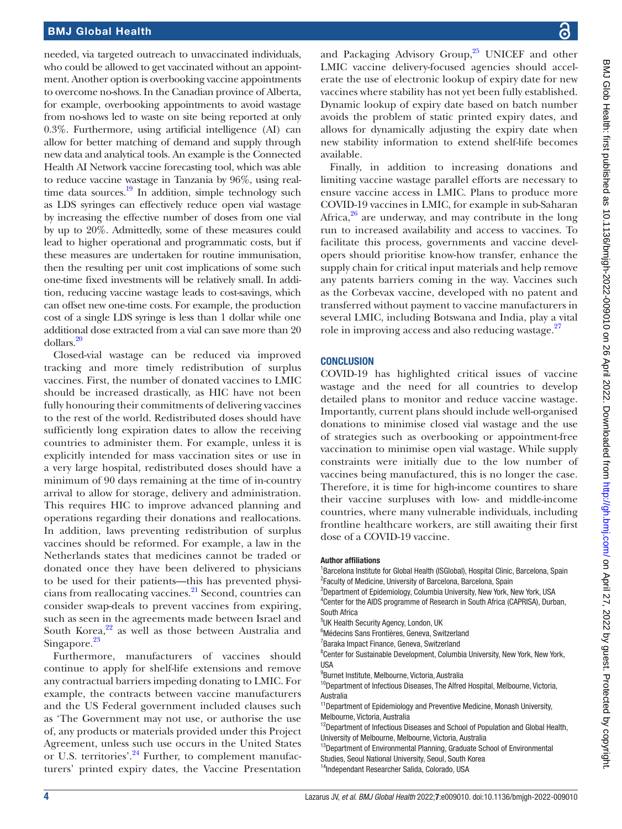needed, via targeted outreach to unvaccinated individuals, who could be allowed to get vaccinated without an appointment. Another option is overbooking vaccine appointments to overcome no-shows. In the Canadian province of Alberta, for example, overbooking appointments to avoid wastage from no-shows led to waste on site being reported at only 0.3%. Furthermore, using artificial intelligence (AI) can allow for better matching of demand and supply through new data and analytical tools. An example is the Connected Health AI Network vaccine forecasting tool, which was able to reduce vaccine wastage in Tanzania by 96%, using realtime data sources. $^{19}$  $^{19}$  $^{19}$  In addition, simple technology such as LDS syringes can effectively reduce open vial wastage by increasing the effective number of doses from one vial by up to 20%. Admittedly, some of these measures could lead to higher operational and programmatic costs, but if these measures are undertaken for routine immunisation, then the resulting per unit cost implications of some such one-time fixed investments will be relatively small. In addition, reducing vaccine wastage leads to cost-savings, which can offset new one-time costs. For example, the production cost of a single LDS syringe is less than 1 dollar while one additional dose extracted from a vial can save more than 20 dollars[.20](#page-4-17)

Closed-vial wastage can be reduced via improved tracking and more timely redistribution of surplus vaccines. First, the number of donated vaccines to LMIC should be increased drastically, as HIC have not been fully honouring their commitments of delivering vaccines to the rest of the world. Redistributed doses should have sufficiently long expiration dates to allow the receiving countries to administer them. For example, unless it is explicitly intended for mass vaccination sites or use in a very large hospital, redistributed doses should have a minimum of 90 days remaining at the time of in-country arrival to allow for storage, delivery and administration. This requires HIC to improve advanced planning and operations regarding their donations and reallocations. In addition, laws preventing redistribution of surplus vaccines should be reformed. For example, a law in the Netherlands states that medicines cannot be traded or donated once they have been delivered to physicians to be used for their patients—this has prevented physicians from reallocating vaccines.<sup>21</sup> Second, countries can consider swap-deals to prevent vaccines from expiring, such as seen in the agreements made between Israel and South Korea, $2^2$  as well as those between Australia and Singapore.<sup>23</sup>

Furthermore, manufacturers of vaccines should continue to apply for shelf-life extensions and remove any contractual barriers impeding donating to LMIC. For example, the contracts between vaccine manufacturers and the US Federal government included clauses such as 'The Government may not use, or authorise the use of, any products or materials provided under this Project Agreement, unless such use occurs in the United States or U.S. territories'.<sup>24</sup> Further, to complement manufacturers' printed expiry dates, the Vaccine Presentation

and Packaging Advisory Group,<sup>25</sup> UNICEF and other LMIC vaccine delivery-focused agencies should accelerate the use of electronic lookup of expiry date for new vaccines where stability has not yet been fully established. Dynamic lookup of expiry date based on batch number avoids the problem of static printed expiry dates, and allows for dynamically adjusting the expiry date when new stability information to extend shelf-life becomes available.

Finally, in addition to increasing donations and limiting vaccine wastage parallel efforts are necessary to ensure vaccine access in LMIC. Plans to produce more COVID-19 vaccines in LMIC, for example in sub-Saharan Africa, $26$  are underway, and may contribute in the long run to increased availability and access to vaccines. To facilitate this process, governments and vaccine developers should prioritise know-how transfer, enhance the supply chain for critical input materials and help remove any patents barriers coming in the way. Vaccines such as the Corbevax vaccine, developed with no patent and transferred without payment to vaccine manufacturers in several LMIC, including Botswana and India, play a vital role in improving access and also reducing wastage.<sup>[27](#page-4-24)</sup>

## **CONCLUSION**

COVID-19 has highlighted critical issues of vaccine wastage and the need for all countries to develop detailed plans to monitor and reduce vaccine wastage. Importantly, current plans should include well-organised donations to minimise closed vial wastage and the use of strategies such as overbooking or appointment-free vaccination to minimise open vial wastage. While supply constraints were initially due to the low number of vaccines being manufactured, this is no longer the case. Therefore, it is time for high-income countires to share their vaccine surpluses with low- and middle-income countries, where many vulnerable individuals, including frontline healthcare workers, are still awaiting their first dose of a COVID-19 vaccine.

#### Author affiliations

<sup>1</sup>Barcelona Institute for Global Health (ISGlobal), Hospital Clinic, Barcelona, Spain <sup>2</sup> Faculty of Medicine, University of Barcelona, Barcelona, Spain

<sup>3</sup>Department of Epidemiology, Columbia University, New York, New York, USA <sup>4</sup> Center for the AIDS programme of Research in South Africa (CAPRISA), Durban, South Africa

- <sup>5</sup>UK Health Security Agency, London, UK
- 6 Médecins Sans Frontières, Geneva, Switzerland
- <sup>7</sup> Baraka Impact Finance, Geneva, Switzerland

<sup>8</sup> Center for Sustainable Development, Columbia University, New York, New York, USA

9 Burnet Institute, Melbourne, Victoria, Australia

<sup>10</sup>Department of Infectious Diseases, The Alfred Hospital, Melbourne, Victoria, Australia

<sup>11</sup> Department of Epidemiology and Preventive Medicine, Monash University, Melbourne, Victoria, Australia

<sup>12</sup>Department of Infectious Diseases and School of Population and Global Health, University of Melbourne, Melbourne, Victoria, Australia

<sup>13</sup>Department of Environmental Planning, Graduate School of Environmental

Studies, Seoul National University, Seoul, South Korea

<sup>14</sup>Independant Researcher Salida, Colorado, USA